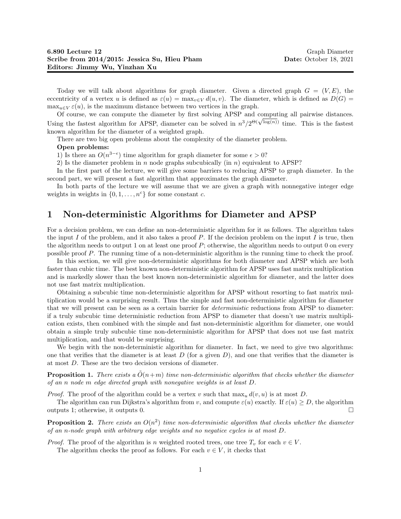Today we will talk about algorithms for graph diameter. Given a directed graph  $G = (V, E)$ , the eccentricity of a vertex u is defined as  $\varepsilon(u) = \max_{v \in V} d(u, v)$ . The diameter, which is defined as  $D(G)$  $\max_{u \in V} \varepsilon(u)$ , is the maximum distance between two vertices in the graph.

Of course, we can compute the diameter by first solving APSP and computing all pairwise distances. Ur course, we can compute the diameter by first solving APSP and computing all pairwise distances.<br>Using the fastest algorithm for APSP, diameter can be solved in  $n^3/2^{\Theta(\sqrt{\log(n)})}$  time. This is the fastest known algorithm for the diameter of a weighted graph.

There are two big open problems about the complexity of the diameter problem.

#### Open problems:

1) Is there an  $O(n^{3-\epsilon})$  time algorithm for graph diameter for some  $\epsilon > 0$ ?

2) Is the diameter problem in n node graphs subcubically (in  $n$ ) equivalent to APSP?

In the first part of the lecture, we will give some barriers to reducing APSP to graph diameter. In the second part, we will present a fast algorithm that approximates the graph diameter.

In both parts of the lecture we will assume that we are given a graph with nonnegative integer edge weights in weights in  $\{0, 1, \ldots, n^c\}$  for some constant c.

## 1 Non-deterministic Algorithms for Diameter and APSP

For a decision problem, we can define an non-deterministic algorithm for it as follows. The algorithm takes the input I of the problem, and it also takes a proof P. If the decision problem on the input I is true, then the algorithm needs to output 1 on at least one proof  $P$ ; otherwise, the algorithm needs to output 0 on every possible proof P. The running time of a non-deterministic algorithm is the running time to check the proof.

In this section, we will give non-deterministic algorithms for both diameter and APSP which are both faster than cubic time. The best known non-deterministic algorithm for APSP uses fast matrix multiplication and is markedly slower than the best known non-deterministic algorithm for diameter, and the latter does not use fast matrix multiplication.

Obtaining a subcubic time non-deterministic algorithm for APSP without resorting to fast matrix multiplication would be a surprising result. Thus the simple and fast non-deterministic algorithm for diameter that we will present can be seen as a certain barrier for *deterministic* reductions from APSP to diameter: if a truly subcubic time deterministic reduction from APSP to diameter that doesn't use matrix multiplication exists, then combined with the simple and fast non-deterministic algorithm for diameter, one would obtain a simple truly subcubic time non-deterministic algorithm for APSP that does not use fast matrix multiplication, and that would be surprising.

We begin with the non-deterministic algorithm for diameter. In fact, we need to give two algorithms: one that verifies that the diameter is at least  $D$  (for a given  $D$ ), and one that verifies that the diameter is at most D. These are the two decision versions of diameter.

**Proposition 1.** There exists a  $\tilde{O}(n+m)$  time non-deterministic algorithm that checks whether the diameter of an n node m edge directed graph with nonegative weights is at least D.

*Proof.* The proof of the algorithm could be a vertex v such that  $\max_u d(v, u)$  is at most D.

The algorithm can run Dijkstra's algorithm from v, and compute  $\varepsilon(u)$  exactly. If  $\varepsilon(u) \geq D$ , the algorithm outputs 1; otherwise, it outputs 0.

**Proposition 2.** There exists an  $O(n^2)$  time non-deterministic algorithm that checks whether the diameter of an n-node graph with arbitrary edge weights and no negatice cycles is at most D.

*Proof.* The proof of the algorithm is n weighted rooted trees, one tree  $T_v$  for each  $v \in V$ .

The algorithm checks the proof as follows. For each  $v \in V$ , it checks that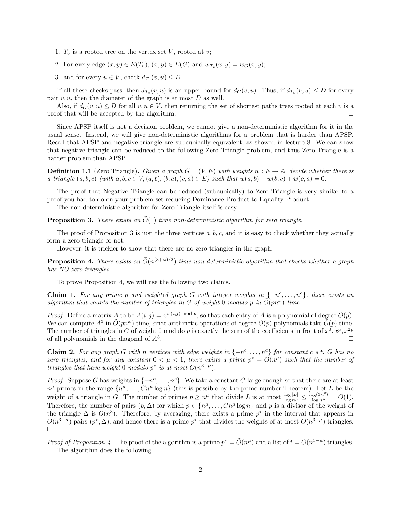- 1.  $T_v$  is a rooted tree on the vertex set V, rooted at v;
- 2. For every edge  $(x, y) \in E(T_v)$ ,  $(x, y) \in E(G)$  and  $w_{T_v}(x, y) = w_G(x, y)$ ;
- 3. and for every  $u \in V$ , check  $d_{T_v}(v, u) \leq D$ .

If all these checks pass, then  $d_{T_v}(v, u)$  is an upper bound for  $d_G(v, u)$ . Thus, if  $d_{T_v}(v, u) \leq D$  for every pair  $v, u$ , then the diameter of the graph is at most  $D$  as well.

Also, if  $d_G(v, u) \leq D$  for all  $v, u \in V$ , then returning the set of shortest paths trees rooted at each v is a proof that will be accepted by the algorithm.  $\Box$ 

Since APSP itself is not a decision problem, we cannot give a non-deterministic algorithm for it in the usual sense. Instead, we will give non-deterministic algorithms for a problem that is harder than APSP. Recall that APSP and negative triangle are subcubically equivalent, as showed in lecture 8. We can show that negative triangle can be reduced to the following Zero Triangle problem, and thus Zero Triangle is a harder problem than APSP.

**Definition 1.1** (Zero Triangle). Given a graph  $G = (V, E)$  with weights  $w : E \to \mathbb{Z}$ , decide whether there is a triangle  $(a, b, c)$  (with  $a, b, c \in V, (a, b), (b, c), (c, a) \in E$ ) such that  $w(a, b) + w(b, c) + w(c, a) = 0$ .

The proof that Negative Triangle can be reduced (subcubically) to Zero Triangle is very similar to a proof you had to do on your problem set reducing Dominance Product to Equality Product.

The non-deterministic algorithm for Zero Triangle itself is easy.

**Proposition 3.** There exists an  $\tilde{O}(1)$  time non-deterministic algorithm for zero triangle.

The proof of Proposition 3 is just the three vertices  $a, b, c$ , and it is easy to check whether they actually form a zero triangle or not.

However, it is trickier to show that there are no zero triangles in the graph.

**Proposition 4.** There exists an  $\tilde{O}(n^{(3+\omega)/2})$  time non-deterministic algorithm that checks whether a graph has NO zero triangles.

To prove Proposition 4, we will use the following two claims.

**Claim 1.** For any prime p and weighted graph G with integer weights in  $\{-n^c, \ldots, n^c\}$ , there exists an algorithm that counts the number of triangles in G of weight 0 modulo p in  $\tilde{O}(pn^{\omega})$  time.

*Proof.* Define a matrix A to be  $A(i, j) = x^{w(i,j) \mod p}$ , so that each entry of A is a polynomial of degree  $O(p)$ . We can compute  $A^3$  in  $\tilde{O}(pn^{\omega})$  time, since arithmetic operations of degree  $O(p)$  polynomials take  $\tilde{O}(p)$  time. The number of triangles in G of weight 0 modulo p is exactly the sum of the coefficients in front of  $x^0, x^p, x^{2p}$ of all polynomials in the diagonal of  $A<sup>3</sup>$ . .

**Claim 2.** For any graph G with n vertices with edge weights in  $\{-n^c, \ldots, n^c\}$  for constant c s.t. G has no zero triangles, and for any constant  $0 < \mu < 1$ , there exists a prime  $p^* = \tilde{O}(n^{\mu})$  such that the number of triangles that have weight 0 modulo  $p^*$  is at most  $O(n^{3-\mu})$ .

*Proof.* Suppose G has weights in  $\{-n^c, \ldots, n^c\}$ . We take a constant C large enough so that there are at least  $n^{\mu}$  primes in the range  $\{n^{\mu}, \ldots, Cn^{\mu} \log n\}$  (this is possible by the prime number Theorem). Let L be the weight of a triangle in G. The number of primes  $p \geq n^{\mu}$  that divide L is at most  $\frac{\log |L|}{\log n^{\mu}} \leq \frac{\log(3n^c)}{\log n^{\mu}} = O(1)$ . Therefore, the number of pairs  $(p, \Delta)$  for which  $p \in \{n^{\mu}, \ldots, Cn^{\mu} \log n\}$  and p is a divisor of the weight of the triangle  $\Delta$  is  $O(n^3)$ . Therefore, by averaging, there exists a prime  $p^*$  in the interval that appears in  $O(n^{3-\mu})$  pairs  $(p^*, \Delta)$ , and hence there is a prime  $p^*$  that divides the weights of at most  $O(n^{3-\mu})$  triangles.  $\Box$ 

*Proof of Proposition 4*. The proof of the algorithm is a prime  $p^* = \tilde{O}(n^{\mu})$  and a list of  $t = O(n^{3-\mu})$  triangles. The algorithm does the following.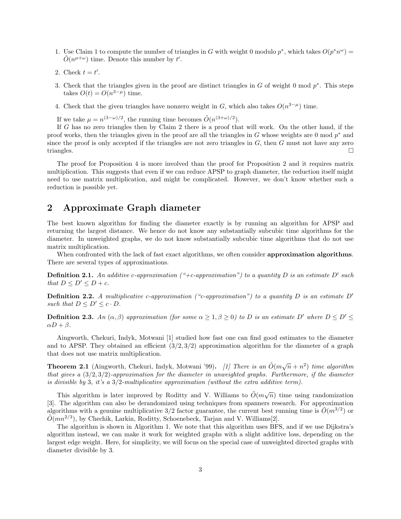- 1. Use Claim 1 to compute the number of triangles in G with weight 0 modulo  $p^*$ , which takes  $O(p^*n^{\omega}) =$  $\tilde{O}(n^{\mu+\omega})$  time. Denote this number by t'.
- 2. Check  $t = t'$ .
- 3. Check that the triangles given in the proof are distinct triangles in  $G$  of weight 0 mod  $p^*$ . This steps takes  $O(t) = O(n^{3-\mu})$  time.
- 4. Check that the given triangles have nonzero weight in G, which also takes  $O(n^{3-\mu})$  time.

If we take  $\mu = n^{(3-\omega)/2}$ , the running time becomes  $\tilde{O}(n^{(3+\omega)/2})$ .

If G has no zero triangles then by Claim 2 there is a proof that will work. On the other hand, if the proof works, then the triangles given in the proof are all the triangles in  $G$  whose weights are 0 mod  $p^*$  and since the proof is only accepted if the triangles are not zero triangles in  $G$ , then  $G$  must not have any zero triangles.

The proof for Proposition 4 is more involved than the proof for Proposition 2 and it requires matrix multiplication. This suggests that even if we can reduce APSP to graph diameter, the reduction itself might need to use matrix multiplication, and might be complicated. However, we don't know whether such a reduction is possible yet.

## 2 Approximate Graph diameter

The best known algorithm for finding the diameter exactly is by running an algorithm for APSP and returning the largest distance. We hence do not know any substantially subcubic time algorithms for the diameter. In unweighted graphs, we do not know substantially subcubic time algorithms that do not use matrix multiplication.

When confronted with the lack of fast exact algorithms, we often consider **approximation algorithms**. There are several types of approximations.

**Definition 2.1.** An additive c-approximation ("+c-approximation") to a quantity D is an estimate D' such that  $D \leq D' \leq D + c$ .

**Definition 2.2.** A multiplicative c-approximation ("c-approximation") to a quantity D is an estimate D' such that  $D \leq D' \leq c \cdot D$ .

**Definition 2.3.** An  $(\alpha, \beta)$  approximation (for some  $\alpha \geq 1, \beta \geq 0$ ) to D is an estimate D' where  $D \leq D' \leq$  $\alpha D + \beta$ .

Aingworth, Chekuri, Indyk, Motwani [1] studied how fast one can find good estimates to the diameter and to APSP. They obtained an efficient  $(3/2, 3/2)$  approximation algorithm for the diameter of a graph that does not use matrix multiplication.

**Theorem 2.1** (Aingworth, Chekuri, Indyk, Motwani '99). [1] There is an  $\tilde{O}(m\sqrt{n} + n^2)$  time algorithm that gives a  $(3/2, 3/2)$ -approximation for the diameter in unweighted graphs. Furthermore, if the diameter is divisible by 3, it's a  $3/2$ -multiplicative approximation (without the extra additive term).

This algorithm is later improved by Roditty and V. Williams to  $\tilde{O}(m\sqrt{n})$  time using randomization [3]. The algorithm can also be derandomized using techniques from spanners research. For approximation algorithms with a genuine multiplicative  $3/2$  factor guarantee, the current best running time is  $O(m^{3/2})$  or  $\tilde{O}(mn^{2/3})$ , by Chechik, Larkin, Roditty, Schoenebeck, Tarjan and V. Williams[2].

The algorithm is shown in Algorithm 1. We note that this algorithm uses BFS, and if we use Dijkstra's algorithm instead, we can make it work for weighted graphs with a slight additive loss, depending on the largest edge weight. Here, for simplicity, we will focus on the special case of unweighted directed graphs with diameter divisible by 3.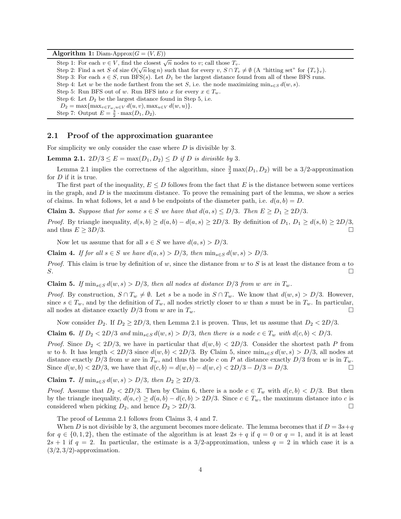Algorithm 1: Diam-Approx $(G = (V, E))$ 

Step 1: For each  $v \in V$ , find the closest  $\sqrt{n}$  nodes to v; call those  $T_v$ . Step 2: Find a set S of size  $O(\sqrt{n}\log n)$  such that for every  $v, S \cap T_v \neq \emptyset$  (A "hitting set" for  $\{T_v\}_v$ ). Step 3: For each  $s \in S$ , run BFS(s). Let  $D_1$  be the largest distance found from all of these BFS runs. Step 4: Let w be the node farthest from the set S, i.e. the node maximizing  $\min_{s \in S} d(w, s)$ . Step 5: Run BFS out of w. Run BFS into x for every  $x \in T_w$ . Step 6: Let  $D_2$  be the largest distance found in Step 5, i.e.  $D_2 = \max\{\max_{v \in T_w, u \in V} d(u, v), \max_{u \in V} d(w, u)\}.$ Step 7: Output  $E = \frac{3}{2} \cdot \max(D_1, D_2)$ .

#### 2.1 Proof of the approximation guarantee

For simplicity we only consider the case where  $D$  is divisible by 3.

**Lemma 2.1.**  $2D/3 \leq E = \max(D_1, D_2) \leq D$  if D is divisible by 3.

Lemma 2.1 implies the correctness of the algorithm, since  $\frac{3}{2}$  max $(D_1, D_2)$  will be a 3/2-approximation for D if it is true.

The first part of the inequality,  $E \leq D$  follows from the fact that E is the distance between some vertices in the graph, and  $D$  is the maximum distance. To prove the remaining part of the lemma, we show a series of claims. In what follows, let a and b be endpoints of the diameter path, i.e.  $d(a, b) = D$ .

**Claim 3.** Suppose that for some  $s \in S$  we have that  $d(a, s) \le D/3$ . Then  $E \ge D_1 \ge 2D/3$ .

*Proof.* By triangle inequality,  $d(s, b) \ge d(a, b) - d(a, s) \ge 2D/3$ . By definition of  $D_1$ ,  $D_1 \ge d(s, b) \ge 2D/3$ , and thus  $E \geq 3D/3$ .

Now let us assume that for all  $s \in S$  we have  $d(a, s) > D/3$ .

Claim 4. If for all  $s \in S$  we have  $d(a, s) > D/3$ , then  $\min_{s \in S} d(w, s) > D/3$ .

*Proof.* This claim is true by definition of w, since the distance from w to S is at least the distance from a to  $S$ .

Claim 5. If  $\min_{s \in S} d(w, s) > D/3$ , then all nodes at distance  $D/3$  from w are in  $T_w$ .

*Proof.* By construction,  $S \cap T_w \neq \emptyset$ . Let s be a node in  $S \cap T_w$ . We know that  $d(w, s) > D/3$ . However, since  $s \in T_w$ , and by the definition of  $T_w$ , all nodes strictly closer to w than s must be in  $T_w$ . In particular, all nodes at distance exactly  $D/3$  from w are in  $T_w$ .

Now consider  $D_2$ . If  $D_2 \geq 2D/3$ , then Lemma 2.1 is proven. Thus, let us assume that  $D_2 < 2D/3$ .

**Claim 6.** If  $D_2 < 2D/3$  and  $\min_{s \in S} d(w, s) > D/3$ , then there is a node  $c \in T_w$  with  $d(c, b) < D/3$ .

*Proof.* Since  $D_2 < 2D/3$ , we have in particular that  $d(w, b) < 2D/3$ . Consider the shortest path P from w to b. It has length  $\langle 2D/3 \rangle$  since  $d(w, b) \langle 2D/3 \rangle$ . By Claim 5, since  $\min_{s \in S} d(w, s) > D/3$ , all nodes at distance exactly  $D/3$  from w are in  $T_w$ , and thus the node c on P at distance exactly  $D/3$  from w is in  $T_w$ . Since  $d(w, b) < 2D/3$ , we have that  $d(c, b) = d(w, b) - d(w, c) < 2D/3 - D/3 = D/3$ .

Claim 7. If  $\min_{s \in S} d(w, s) > D/3$ , then  $D_2 \geq 2D/3$ .

*Proof.* Assume that  $D_2 < 2D/3$ . Then by Claim 6, there is a node  $c \in T_w$  with  $d(c, b) < D/3$ . But then by the triangle inequality,  $d(a, c) \geq d(a, b) - d(c, b) > 2D/3$ . Since  $c \in T_w$ , the maximum distance into c is considered when picking  $D_2$ , and hence  $D_2 > 2D/3$ .

The proof of Lemma 2.1 follows from Claims 3, 4 and 7.

When D is not divisible by 3, the argument becomes more delicate. The lemma becomes that if  $D = 3s+q$ for  $q \in \{0,1,2\}$ , then the estimate of the algorithm is at least  $2s + q$  if  $q = 0$  or  $q = 1$ , and it is at least  $2s + 1$  if  $q = 2$ . In particular, the estimate is a 3/2-approximation, unless  $q = 2$  in which case it is a  $(3/2, 3/2)$ -approximation.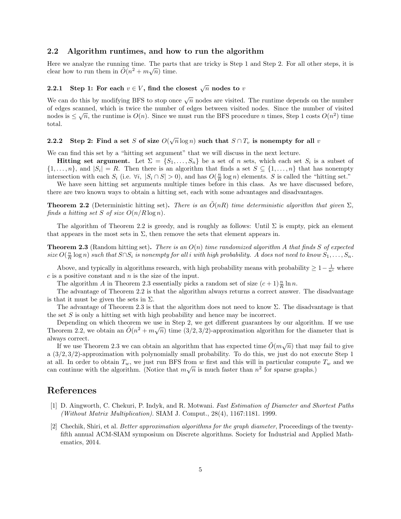#### 2.2 Algorithm runtimes, and how to run the algorithm

Here we analyze the running time. The parts that are tricky is Step 1 and Step 2. For all other steps, it is clear how to run them in  $\tilde{O}(n^2 + m\sqrt{n})$  time.

## 2.2.1 Step 1: For each  $v \in V,$  find the closest  $\sqrt{n}$  nodes to  $v$

We can do this by modifying BFS to stop once  $\sqrt{n}$  nodes are visited. The runtime depends on the number of edges scanned, which is twice the number of edges between visited nodes. Since the number of visited  $\sim$ nodes is  $\leq \sqrt{n}$ , the runtime is  $O(n)$ . Since we must run the BFS procedure n times, Step 1 costs  $O(n^2)$  time total.

# 2.2.2 Step 2: Find a set S of size  $O(\sqrt{n}\log n)$  such that  $S \cap T_v$  is nonempty for all  $v$

We can find this set by a "hitting set argument" that we will discuss in the next lecture.

**Hitting set argument.** Let  $\Sigma = \{S_1, \ldots, S_n\}$  be a set of n sets, which each set  $S_i$  is a subset of  $\{1,\ldots,n\}$ , and  $|S_i|=R$ . Then there is an algorithm that finds a set  $S\subseteq\{1,\ldots,n\}$  that has nonempty intersection with each  $S_i$  (i.e.  $\forall i, |S_i \cap S| > 0$ ), and has  $O(\frac{n}{R} \log n)$  elements. S is called the "hitting set."

We have seen hitting set arguments multiple times before in this class. As we have discussed before, there are two known ways to obtain a hitting set, each with some advantages and disadvantages.

**Theorem 2.2** (Deterministic hitting set). There is an  $O(nR)$  time deterministic algorithm that given  $\Sigma$ , finds a hitting set S of size  $O(n/R \log n)$ .

The algorithm of Theorem 2.2 is greedy, and is roughly as follows: Until  $\Sigma$  is empty, pick an element that appears in the most sets in  $\Sigma$ , then remove the sets that element appears in.

**Theorem 2.3** (Random hitting set). There is an  $O(n)$  time randomized algorithm A that finds S of expected size  $O(\frac{n}{R} \log n)$  such that  $S \cap S_i$  is nonempty for all i with high probability. A does not need to know  $S_1, \ldots, S_n$ .

Above, and typically in algorithms research, with high probability means with probability  $\geq 1-\frac{1}{n^c}$  where  $c$  is a positive constant and  $n$  is the size of the input.

The algorithm A in Theorem 2.3 essentially picks a random set of size  $(c+1)\frac{n}{R}\ln n$ .

The advantage of Theorem 2.2 is that the algorithm always returns a correct answer. The disadvantage is that it must be given the sets in  $\Sigma$ .

The advantage of Theorem 2.3 is that the algorithm does not need to know  $\Sigma$ . The disadvantage is that the set  $S$  is only a hitting set with high probability and hence may be incorrect.

Depending on which theorem we use in Step 2, we get different guarantees by our algorithm. If we use Theorem 2.2, we obtain an  $\tilde{O}(n^2 + m\sqrt{n})$  time  $(3/2, 3/2)$ -approximation algorithm for the diameter that is always correct.

ays correct.<br>If we use Theorem 2.3 we can obtain an algorithm that has expected time  $\tilde{O}(m\sqrt{n})$  that may fail to give a (3/2, 3/2)-approximation with polynomially small probability. To do this, we just do not execute Step 1 at all. In order to obtain  $T_w$ , we just run BFS from w first and this will in particular compute  $T_w$  and we can continue with the algorithm. (Notice that  $m\sqrt{n}$  is much faster than  $n^2$  for sparse graphs.)

## References

- [1] D. Aingworth, C. Chekuri, P. Indyk, and R. Motwani. Fast Estimation of Diameter and Shortest Paths (Without Matrix Multiplication). SIAM J. Comput., 28(4), 1167:1181. 1999.
- [2] Chechik, Shiri, et al. Better approximation algorithms for the graph diameter, Proceedings of the twentyfifth annual ACM-SIAM symposium on Discrete algorithms. Society for Industrial and Applied Mathematics, 2014.